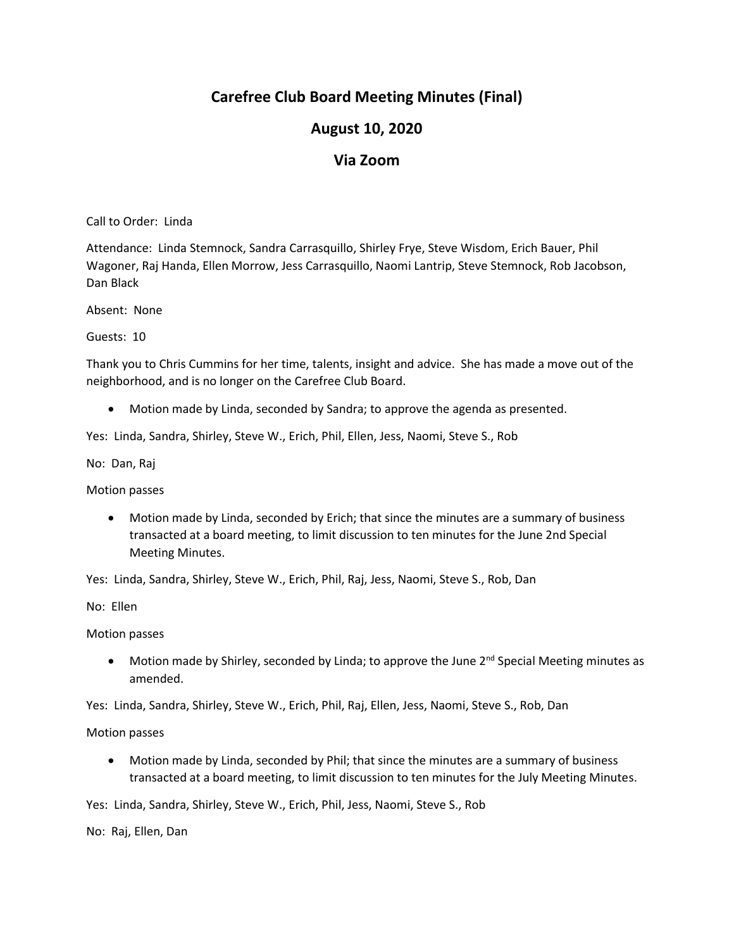# **Carefree Club Board Meeting Minutes (Final)**

### **August 10, 2020**

#### **Via Zoom**

Call to Order: Linda

Attendance: Linda Stemnock, Sandra Carrasquillo, Shirley Frye, Steve Wisdom, Erich Bauer, Phil Wagoner, Raj Handa, Ellen Morrow, Jess Carrasquillo, Naomi Lantrip, Steve Stemnock, Rob Jacobson, Dan Black

Absent: None

Guests: 10

Thank you to Chris Cummins for her time, talents, insight and advice. She has made a move out of the neighborhood, and is no longer on the Carefree Club Board.

Motion made by Linda, seconded by Sandra; to approve the agenda as presented.

Yes: Linda, Sandra, Shirley, Steve W., Erich, Phil, Ellen, Jess, Naomi, Steve S., Rob

No: Dan, Raj

Motion passes

 Motion made by Linda, seconded by Erich; that since the minutes are a summary of business transacted at a board meeting, to limit discussion to ten minutes for the June 2nd Special Meeting Minutes.

Yes: Linda, Sandra, Shirley, Steve W., Erich, Phil, Raj, Jess, Naomi, Steve S., Rob, Dan

No: Ellen

Motion passes

• Motion made by Shirley, seconded by Linda; to approve the June 2<sup>nd</sup> Special Meeting minutes as amended.

Yes: Linda, Sandra, Shirley, Steve W., Erich, Phil, Raj, Ellen, Jess, Naomi, Steve S., Rob, Dan

Motion passes

 Motion made by Linda, seconded by Phil; that since the minutes are a summary of business transacted at a board meeting, to limit discussion to ten minutes for the July Meeting Minutes.

Yes: Linda, Sandra, Shirley, Steve W., Erich, Phil, Jess, Naomi, Steve S., Rob

No: Raj, Ellen, Dan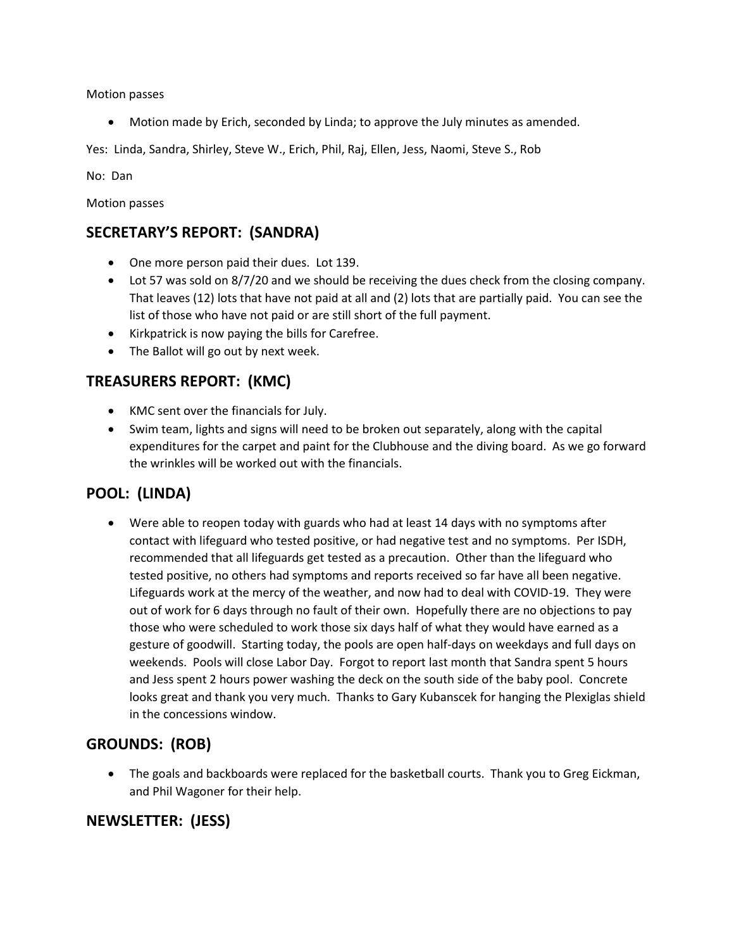Motion passes

Motion made by Erich, seconded by Linda; to approve the July minutes as amended.

Yes: Linda, Sandra, Shirley, Steve W., Erich, Phil, Raj, Ellen, Jess, Naomi, Steve S., Rob

No: Dan

Motion passes

### **SECRETARY'S REPORT: (SANDRA)**

- One more person paid their dues. Lot 139.
- Lot 57 was sold on 8/7/20 and we should be receiving the dues check from the closing company. That leaves (12) lots that have not paid at all and (2) lots that are partially paid. You can see the list of those who have not paid or are still short of the full payment.
- Kirkpatrick is now paying the bills for Carefree.
- The Ballot will go out by next week.

## **TREASURERS REPORT: (KMC)**

- KMC sent over the financials for July.
- Swim team, lights and signs will need to be broken out separately, along with the capital expenditures for the carpet and paint for the Clubhouse and the diving board. As we go forward the wrinkles will be worked out with the financials.

## **POOL: (LINDA)**

 Were able to reopen today with guards who had at least 14 days with no symptoms after contact with lifeguard who tested positive, or had negative test and no symptoms. Per ISDH, recommended that all lifeguards get tested as a precaution. Other than the lifeguard who tested positive, no others had symptoms and reports received so far have all been negative. Lifeguards work at the mercy of the weather, and now had to deal with COVID-19. They were out of work for 6 days through no fault of their own. Hopefully there are no objections to pay those who were scheduled to work those six days half of what they would have earned as a gesture of goodwill. Starting today, the pools are open half-days on weekdays and full days on weekends. Pools will close Labor Day. Forgot to report last month that Sandra spent 5 hours and Jess spent 2 hours power washing the deck on the south side of the baby pool. Concrete looks great and thank you very much. Thanks to Gary Kubanscek for hanging the Plexiglas shield in the concessions window.

## **GROUNDS: (ROB)**

 The goals and backboards were replaced for the basketball courts. Thank you to Greg Eickman, and Phil Wagoner for their help.

#### **NEWSLETTER: (JESS)**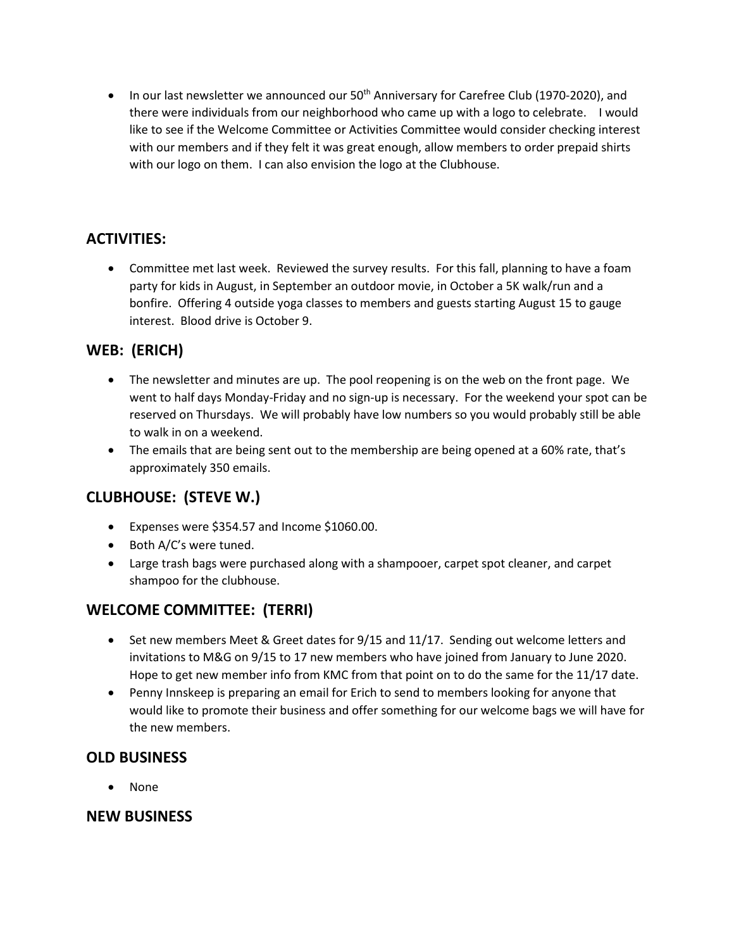$\bullet$  In our last newsletter we announced our 50<sup>th</sup> Anniversary for Carefree Club (1970-2020), and there were individuals from our neighborhood who came up with a logo to celebrate. I would like to see if the Welcome Committee or Activities Committee would consider checking interest with our members and if they felt it was great enough, allow members to order prepaid shirts with our logo on them. I can also envision the logo at the Clubhouse.

### **ACTIVITIES:**

 Committee met last week. Reviewed the survey results. For this fall, planning to have a foam party for kids in August, in September an outdoor movie, in October a 5K walk/run and a bonfire. Offering 4 outside yoga classes to members and guests starting August 15 to gauge interest. Blood drive is October 9.

### **WEB: (ERICH)**

- The newsletter and minutes are up. The pool reopening is on the web on the front page. We went to half days Monday-Friday and no sign-up is necessary. For the weekend your spot can be reserved on Thursdays. We will probably have low numbers so you would probably still be able to walk in on a weekend.
- The emails that are being sent out to the membership are being opened at a 60% rate, that's approximately 350 emails.

## **CLUBHOUSE: (STEVE W.)**

- Expenses were \$354.57 and Income \$1060.00.
- Both A/C's were tuned.
- Large trash bags were purchased along with a shampooer, carpet spot cleaner, and carpet shampoo for the clubhouse.

## **WELCOME COMMITTEE: (TERRI)**

- Set new members Meet & Greet dates for 9/15 and 11/17. Sending out welcome letters and invitations to M&G on 9/15 to 17 new members who have joined from January to June 2020. Hope to get new member info from KMC from that point on to do the same for the 11/17 date.
- Penny Innskeep is preparing an email for Erich to send to members looking for anyone that would like to promote their business and offer something for our welcome bags we will have for the new members.

#### **OLD BUSINESS**

None

#### **NEW BUSINESS**